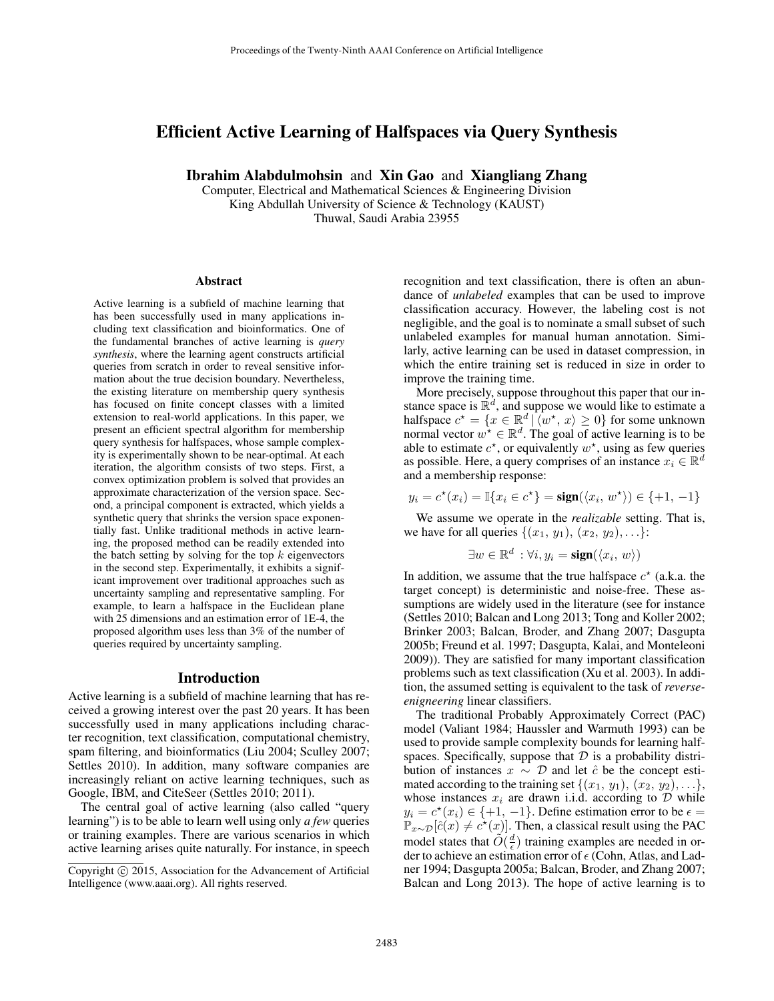# Efficient Active Learning of Halfspaces via Query Synthesis

Ibrahim Alabdulmohsin and Xin Gao and Xiangliang Zhang

Computer, Electrical and Mathematical Sciences & Engineering Division King Abdullah University of Science & Technology (KAUST) Thuwal, Saudi Arabia 23955

#### Abstract

Active learning is a subfield of machine learning that has been successfully used in many applications including text classification and bioinformatics. One of the fundamental branches of active learning is *query synthesis*, where the learning agent constructs artificial queries from scratch in order to reveal sensitive information about the true decision boundary. Nevertheless, the existing literature on membership query synthesis has focused on finite concept classes with a limited extension to real-world applications. In this paper, we present an efficient spectral algorithm for membership query synthesis for halfspaces, whose sample complexity is experimentally shown to be near-optimal. At each iteration, the algorithm consists of two steps. First, a convex optimization problem is solved that provides an approximate characterization of the version space. Second, a principal component is extracted, which yields a synthetic query that shrinks the version space exponentially fast. Unlike traditional methods in active learning, the proposed method can be readily extended into the batch setting by solving for the top  $k$  eigenvectors in the second step. Experimentally, it exhibits a significant improvement over traditional approaches such as uncertainty sampling and representative sampling. For example, to learn a halfspace in the Euclidean plane with 25 dimensions and an estimation error of 1E-4, the proposed algorithm uses less than 3% of the number of queries required by uncertainty sampling.

#### Introduction

Active learning is a subfield of machine learning that has received a growing interest over the past 20 years. It has been successfully used in many applications including character recognition, text classification, computational chemistry, spam filtering, and bioinformatics (Liu 2004; Sculley 2007; Settles 2010). In addition, many software companies are increasingly reliant on active learning techniques, such as Google, IBM, and CiteSeer (Settles 2010; 2011).

The central goal of active learning (also called "query learning") is to be able to learn well using only *a few* queries or training examples. There are various scenarios in which active learning arises quite naturally. For instance, in speech recognition and text classification, there is often an abundance of *unlabeled* examples that can be used to improve classification accuracy. However, the labeling cost is not negligible, and the goal is to nominate a small subset of such unlabeled examples for manual human annotation. Similarly, active learning can be used in dataset compression, in which the entire training set is reduced in size in order to improve the training time.

More precisely, suppose throughout this paper that our instance space is  $\mathbb{R}^d$ , and suppose we would like to estimate a halfspace  $c^* = \{x \in \mathbb{R}^d \mid \langle w^*, x \rangle \ge 0\}$  for some unknown normal vector  $w^* \in \mathbb{R}^d$ . The goal of active learning is to be able to estimate  $c^*$ , or equivalently  $w^*$ , using as few queries as possible. Here, a query comprises of an instance  $x_i \in \mathbb{R}^d$ and a membership response:

$$
y_i = c^{\star}(x_i) = \mathbb{I}\{x_i \in c^{\star}\} = \text{sign}(\langle x_i, w^{\star} \rangle) \in \{+1, -1\}
$$

We assume we operate in the *realizable* setting. That is, we have for all queries  $\{(x_1, y_1), (x_2, y_2), \ldots\}$ :

$$
\exists w \in \mathbb{R}^d : \forall i, y_i = \text{sign}(\langle x_i, w \rangle)
$$

In addition, we assume that the true halfspace  $c^*$  (a.k.a. the target concept) is deterministic and noise-free. These assumptions are widely used in the literature (see for instance (Settles 2010; Balcan and Long 2013; Tong and Koller 2002; Brinker 2003; Balcan, Broder, and Zhang 2007; Dasgupta 2005b; Freund et al. 1997; Dasgupta, Kalai, and Monteleoni 2009)). They are satisfied for many important classification problems such as text classification (Xu et al. 2003). In addition, the assumed setting is equivalent to the task of *reverseenigneering* linear classifiers.

The traditional Probably Approximately Correct (PAC) model (Valiant 1984; Haussler and Warmuth 1993) can be used to provide sample complexity bounds for learning halfspaces. Specifically, suppose that  $D$  is a probability distribution of instances  $x \sim \mathcal{D}$  and let  $\hat{c}$  be the concept estimated according to the training set  $\{(x_1, y_1), (x_2, y_2), \ldots\},\$ whose instances  $x_i$  are drawn i.i.d. according to  $D$  while  $y_i = c^*(x_i) \in \{+1, -1\}$ . Define estimation error to be  $\epsilon =$  $\mathbb{P}_{x \sim \mathcal{D}}[\hat{c}(x) \neq c^*(x)]$ . Then, a classical result using the PAC model states that  $\tilde{O}(\frac{d}{\epsilon})$  training examples are needed in order to achieve an estimation error of  $\epsilon$  (Cohn, Atlas, and Ladner 1994; Dasgupta 2005a; Balcan, Broder, and Zhang 2007; Balcan and Long 2013). The hope of active learning is to

Copyright © 2015, Association for the Advancement of Artificial Intelligence (www.aaai.org). All rights reserved.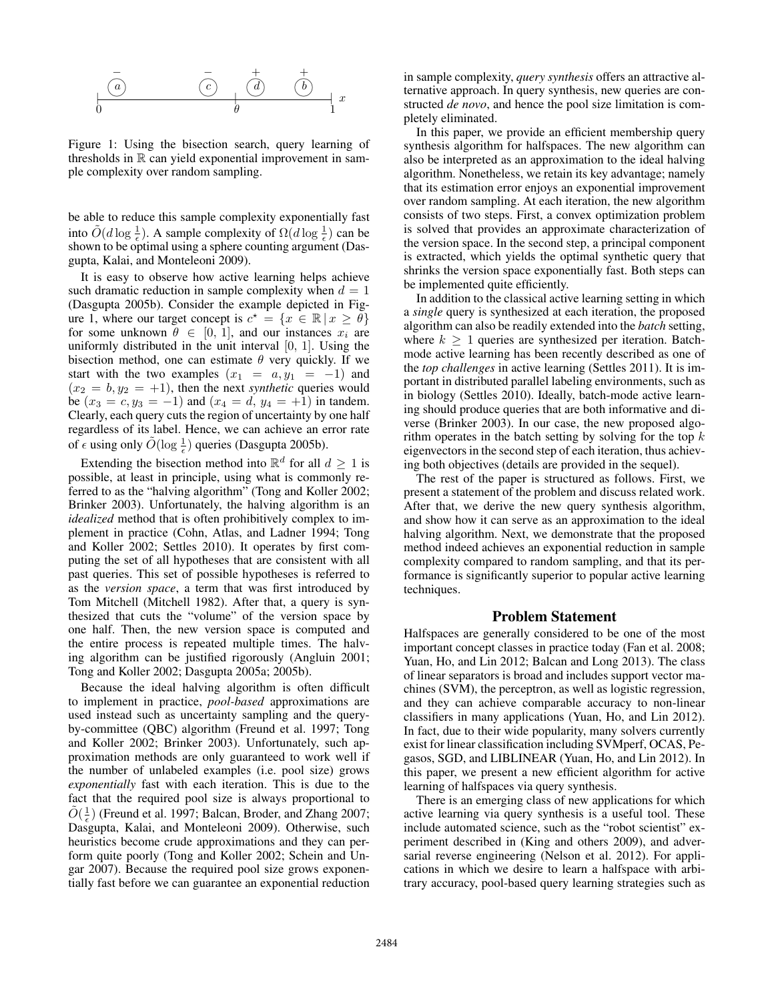

Figure 1: Using the bisection search, query learning of thresholds in  $\mathbb R$  can yield exponential improvement in sample complexity over random sampling.

be able to reduce this sample complexity exponentially fast into  $\tilde{O}(d \log \frac{1}{\epsilon})$ . A sample complexity of  $\Omega(d \log \frac{1}{\epsilon})$  can be shown to be optimal using a sphere counting argument (Dasgupta, Kalai, and Monteleoni 2009).

It is easy to observe how active learning helps achieve such dramatic reduction in sample complexity when  $d = 1$ (Dasgupta 2005b). Consider the example depicted in Figure 1, where our target concept is  $c^* = \{x \in \mathbb{R} \mid x \geq \theta\}$ for some unknown  $\theta \in [0, 1]$ , and our instances  $x_i$  are uniformly distributed in the unit interval [0, 1]. Using the bisection method, one can estimate  $\theta$  very quickly. If we start with the two examples  $(x_1 = a, y_1 = -1)$  and  $(x_2 = b, y_2 = +1)$ , then the next *synthetic* queries would be  $(x_3 = c, y_3 = -1)$  and  $(x_4 = d, y_4 = +1)$  in tandem. Clearly, each query cuts the region of uncertainty by one half regardless of its label. Hence, we can achieve an error rate of  $\epsilon$  using only  $\tilde{O}(\log \frac{1}{\epsilon})$  queries (Dasgupta 2005b).

Extending the bisection method into  $\mathbb{R}^d$  for all  $d \geq 1$  is possible, at least in principle, using what is commonly referred to as the "halving algorithm" (Tong and Koller 2002; Brinker 2003). Unfortunately, the halving algorithm is an *idealized* method that is often prohibitively complex to implement in practice (Cohn, Atlas, and Ladner 1994; Tong and Koller 2002; Settles 2010). It operates by first computing the set of all hypotheses that are consistent with all past queries. This set of possible hypotheses is referred to as the *version space*, a term that was first introduced by Tom Mitchell (Mitchell 1982). After that, a query is synthesized that cuts the "volume" of the version space by one half. Then, the new version space is computed and the entire process is repeated multiple times. The halving algorithm can be justified rigorously (Angluin 2001; Tong and Koller 2002; Dasgupta 2005a; 2005b).

1 to implement in practice, *pool-based* approximations are Because the ideal halving algorithm is often difficult used instead such as uncertainty sampling and the queryby-committee (QBC) algorithm (Freund et al. 1997; Tong and Koller 2002; Brinker 2003). Unfortunately, such approximation methods are only guaranteed to work well if the number of unlabeled examples (i.e. pool size) grows *exponentially* fast with each iteration. This is due to the fact that the required pool size is always proportional to  $\tilde{O}(\frac{1}{\epsilon})$  (Freund et al. 1997; Balcan, Broder, and Zhang 2007; Dasgupta, Kalai, and Monteleoni 2009). Otherwise, such heuristics become crude approximations and they can perform quite poorly (Tong and Koller 2002; Schein and Ungar 2007). Because the required pool size grows exponentially fast before we can guarantee an exponential reduction in sample complexity, *query synthesis* offers an attractive alternative approach. In query synthesis, new queries are constructed *de novo*, and hence the pool size limitation is completely eliminated.

In this paper, we provide an efficient membership query synthesis algorithm for halfspaces. The new algorithm can also be interpreted as an approximation to the ideal halving algorithm. Nonetheless, we retain its key advantage; namely that its estimation error enjoys an exponential improvement over random sampling. At each iteration, the new algorithm consists of two steps. First, a convex optimization problem is solved that provides an approximate characterization of the version space. In the second step, a principal component is extracted, which yields the optimal synthetic query that shrinks the version space exponentially fast. Both steps can be implemented quite efficiently.

In addition to the classical active learning setting in which a *single* query is synthesized at each iteration, the proposed algorithm can also be readily extended into the *batch* setting, where  $k \geq 1$  queries are synthesized per iteration. Batchmode active learning has been recently described as one of the *top challenges* in active learning (Settles 2011). It is important in distributed parallel labeling environments, such as in biology (Settles 2010). Ideally, batch-mode active learning should produce queries that are both informative and diverse (Brinker 2003). In our case, the new proposed algorithm operates in the batch setting by solving for the top  $k$ eigenvectors in the second step of each iteration, thus achieving both objectives (details are provided in the sequel).

The rest of the paper is structured as follows. First, we present a statement of the problem and discuss related work. After that, we derive the new query synthesis algorithm, and show how it can serve as an approximation to the ideal halving algorithm. Next, we demonstrate that the proposed method indeed achieves an exponential reduction in sample complexity compared to random sampling, and that its performance is significantly superior to popular active learning techniques.

#### Problem Statement

Halfspaces are generally considered to be one of the most important concept classes in practice today (Fan et al. 2008; Yuan, Ho, and Lin 2012; Balcan and Long 2013). The class of linear separators is broad and includes support vector machines (SVM), the perceptron, as well as logistic regression, and they can achieve comparable accuracy to non-linear classifiers in many applications (Yuan, Ho, and Lin 2012). In fact, due to their wide popularity, many solvers currently exist for linear classification including SVMperf, OCAS, Pegasos, SGD, and LIBLINEAR (Yuan, Ho, and Lin 2012). In this paper, we present a new efficient algorithm for active learning of halfspaces via query synthesis.

There is an emerging class of new applications for which active learning via query synthesis is a useful tool. These include automated science, such as the "robot scientist" experiment described in (King and others 2009), and adversarial reverse engineering (Nelson et al. 2012). For applications in which we desire to learn a halfspace with arbitrary accuracy, pool-based query learning strategies such as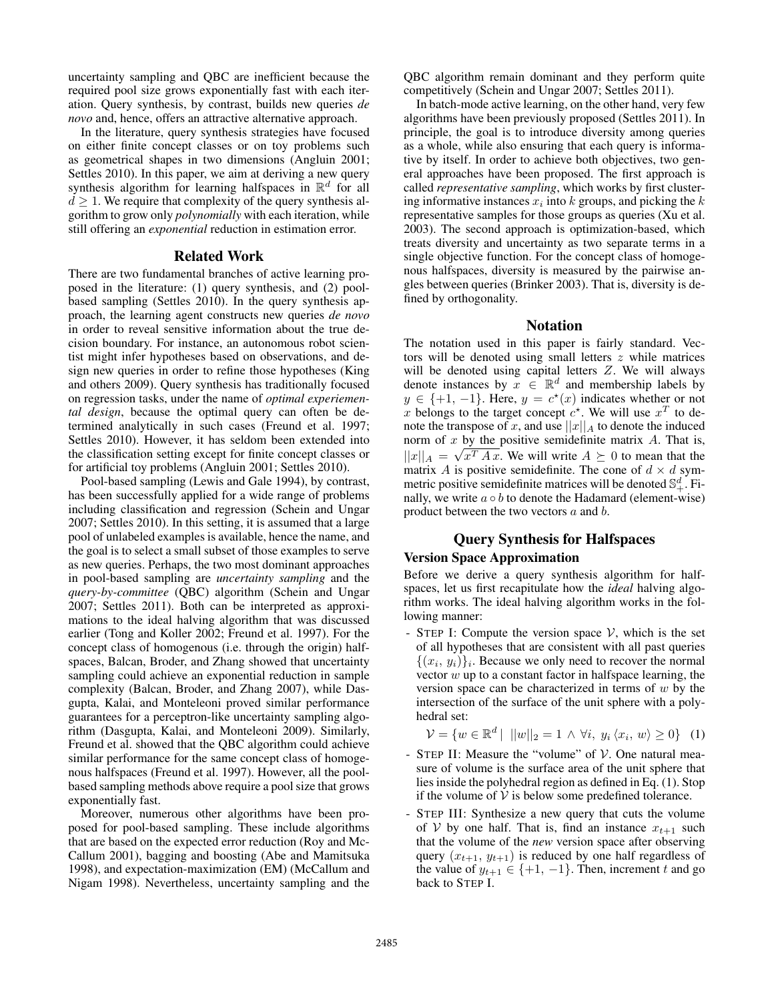uncertainty sampling and QBC are inefficient because the required pool size grows exponentially fast with each iteration. Query synthesis, by contrast, builds new queries *de novo* and, hence, offers an attractive alternative approach.

In the literature, query synthesis strategies have focused on either finite concept classes or on toy problems such as geometrical shapes in two dimensions (Angluin 2001; Settles 2010). In this paper, we aim at deriving a new query synthesis algorithm for learning halfspaces in  $\mathbb{R}^d$  for all  $d \geq 1$ . We require that complexity of the query synthesis algorithm to grow only *polynomially* with each iteration, while still offering an *exponential* reduction in estimation error.

#### Related Work

There are two fundamental branches of active learning proposed in the literature: (1) query synthesis, and (2) poolbased sampling (Settles 2010). In the query synthesis approach, the learning agent constructs new queries *de novo* in order to reveal sensitive information about the true decision boundary. For instance, an autonomous robot scientist might infer hypotheses based on observations, and design new queries in order to refine those hypotheses (King and others 2009). Query synthesis has traditionally focused on regression tasks, under the name of *optimal experiemental design*, because the optimal query can often be determined analytically in such cases (Freund et al. 1997; Settles 2010). However, it has seldom been extended into the classification setting except for finite concept classes or for artificial toy problems (Angluin 2001; Settles 2010).

Pool-based sampling (Lewis and Gale 1994), by contrast, has been successfully applied for a wide range of problems including classification and regression (Schein and Ungar 2007; Settles 2010). In this setting, it is assumed that a large pool of unlabeled examples is available, hence the name, and the goal is to select a small subset of those examples to serve as new queries. Perhaps, the two most dominant approaches in pool-based sampling are *uncertainty sampling* and the *query-by-committee* (QBC) algorithm (Schein and Ungar 2007; Settles 2011). Both can be interpreted as approximations to the ideal halving algorithm that was discussed earlier (Tong and Koller 2002; Freund et al. 1997). For the concept class of homogenous (i.e. through the origin) halfspaces, Balcan, Broder, and Zhang showed that uncertainty sampling could achieve an exponential reduction in sample complexity (Balcan, Broder, and Zhang 2007), while Dasgupta, Kalai, and Monteleoni proved similar performance guarantees for a perceptron-like uncertainty sampling algorithm (Dasgupta, Kalai, and Monteleoni 2009). Similarly, Freund et al. showed that the QBC algorithm could achieve similar performance for the same concept class of homogenous halfspaces (Freund et al. 1997). However, all the poolbased sampling methods above require a pool size that grows exponentially fast.

Moreover, numerous other algorithms have been proposed for pool-based sampling. These include algorithms that are based on the expected error reduction (Roy and Mc-Callum 2001), bagging and boosting (Abe and Mamitsuka 1998), and expectation-maximization (EM) (McCallum and Nigam 1998). Nevertheless, uncertainty sampling and the

QBC algorithm remain dominant and they perform quite competitively (Schein and Ungar 2007; Settles 2011).

In batch-mode active learning, on the other hand, very few algorithms have been previously proposed (Settles 2011). In principle, the goal is to introduce diversity among queries as a whole, while also ensuring that each query is informative by itself. In order to achieve both objectives, two general approaches have been proposed. The first approach is called *representative sampling*, which works by first clustering informative instances  $x_i$  into k groups, and picking the k representative samples for those groups as queries (Xu et al. 2003). The second approach is optimization-based, which treats diversity and uncertainty as two separate terms in a single objective function. For the concept class of homogenous halfspaces, diversity is measured by the pairwise angles between queries (Brinker 2003). That is, diversity is defined by orthogonality.

### Notation

The notation used in this paper is fairly standard. Vectors will be denoted using small letters  $z$  while matrices will be denoted using capital letters  $Z$ . We will always denote instances by  $x \in \mathbb{R}^d$  and membership labels by  $y \in \{+1, -1\}$ . Here,  $y = c^*(x)$  indicates whether or not x belongs to the target concept  $c^*$ . We will use  $x^T$  to denote the transpose of x, and use  $||x||_A$  to denote the induced norm of  $x$  by the positive semidefinite matrix  $A$ . That is,  $||x||_A = \sqrt{x^T A x}$ . We will write  $A \succeq 0$  to mean that the matrix A is positive semidefinite. The cone of  $d \times d$  symmetric positive semidefinite matrices will be denoted  $\mathbb{S}^d_+$ . Finally, we write  $a \circ b$  to denote the Hadamard (element-wise) product between the two vectors a and b.

# Query Synthesis for Halfspaces

# Version Space Approximation

Before we derive a query synthesis algorithm for halfspaces, let us first recapitulate how the *ideal* halving algorithm works. The ideal halving algorithm works in the following manner:

- STEP I: Compute the version space  $V$ , which is the set of all hypotheses that are consistent with all past queries  $\{(x_i, y_i)\}\$ i. Because we only need to recover the normal vector  $w$  up to a constant factor in halfspace learning, the version space can be characterized in terms of  $w$  by the intersection of the surface of the unit sphere with a polyhedral set:

$$
\mathcal{V} = \{ w \in \mathbb{R}^d \mid ||w||_2 = 1 \land \forall i, y_i \langle x_i, w \rangle \ge 0 \} \quad (1)
$$

- STEP II: Measure the "volume" of  $V$ . One natural measure of volume is the surface area of the unit sphere that lies inside the polyhedral region as defined in Eq. (1). Stop if the volume of  $V$  is below some predefined tolerance.
- STEP III: Synthesize a new query that cuts the volume of V by one half. That is, find an instance  $x_{t+1}$  such that the volume of the *new* version space after observing query  $(x_{t+1}, y_{t+1})$  is reduced by one half regardless of the value of  $y_{t+1} \in \{+1, -1\}$ . Then, increment t and go back to STEP I.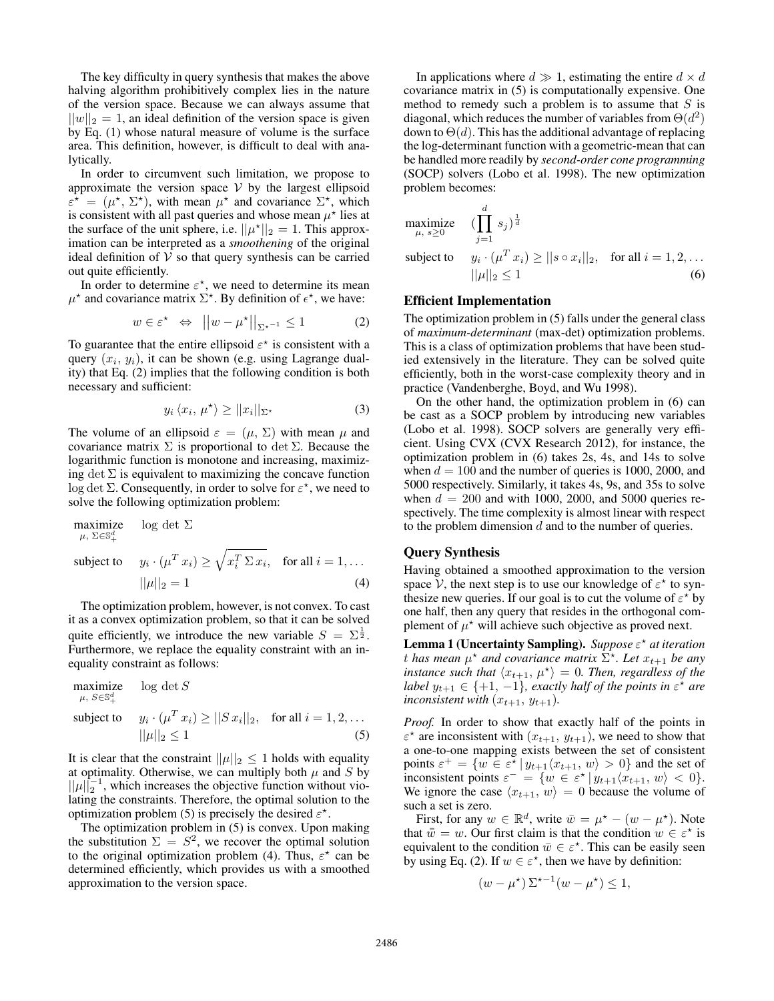The key difficulty in query synthesis that makes the above halving algorithm prohibitively complex lies in the nature of the version space. Because we can always assume that  $||w||_2 = 1$ , an ideal definition of the version space is given by Eq. (1) whose natural measure of volume is the surface area. This definition, however, is difficult to deal with analytically.

In order to circumvent such limitation, we propose to approximate the version space  $V$  by the largest ellipsoid  $\varepsilon^* = (\mu^*, \Sigma^*)$ , with mean  $\mu^*$  and covariance  $\Sigma^*$ , which is consistent with all past queries and whose mean  $\mu^*$  lies at the surface of the unit sphere, i.e.  $||\mu^*||_2 = 1$ . This approximation can be interpreted as a *smoothening* of the original ideal definition of  $V$  so that query synthesis can be carried out quite efficiently.

In order to determine  $\varepsilon^*$ , we need to determine its mean  $\mu^*$  and covariance matrix  $\Sigma^*$ . By definition of  $\epsilon^*$ , we have:

$$
w \in \varepsilon^{\star} \iff ||w - \mu^{\star}||_{\Sigma^{\star^{-1}}} \le 1 \tag{2}
$$

To guarantee that the entire ellipsoid  $\varepsilon^*$  is consistent with a query  $(x_i, y_i)$ , it can be shown (e.g. using Lagrange duality) that Eq. (2) implies that the following condition is both necessary and sufficient:

$$
y_i \langle x_i, \mu^* \rangle \ge ||x_i||_{\Sigma^*} \tag{3}
$$

The volume of an ellipsoid  $\varepsilon = (\mu, \Sigma)$  with mean  $\mu$  and covariance matrix  $\Sigma$  is proportional to det  $\Sigma$ . Because the logarithmic function is monotone and increasing, maximizing det  $\Sigma$  is equivalent to maximizing the concave function log det  $\Sigma$ . Consequently, in order to solve for  $\varepsilon^*$ , we need to solve the following optimization problem:

maximize 
$$
\log \det \Sigma
$$
  
\n $\mu, \Sigma \in \mathbb{S}_+^d$   
\nsubject to  $y_i \cdot (\mu^T x_i) \ge \sqrt{x_i^T \Sigma x_i}$ , for all  $i = 1, ...$   
\n $||\mu||_2 = 1$  (4)

The optimization problem, however, is not convex. To cast it as a convex optimization problem, so that it can be solved quite efficiently, we introduce the new variable  $S = \Sigma^{\frac{1}{2}}$ . Furthermore, we replace the equality constraint with an inequality constraint as follows:

maximize 
$$
\log \det S
$$
  
\n $\mu, S \in \mathbb{S}_+^d$   
\nsubject to  $y_i \cdot (\mu^T x_i) \ge ||S x_i||_2$ , for all  $i = 1, 2, ...$   
\n $||\mu||_2 \le 1$  (5)

It is clear that the constraint  $||\mu||_2 \leq 1$  holds with equality at optimality. Otherwise, we can multiply both  $\mu$  and  $S$  by  $||\mu||_2^{-1}$ , which increases the objective function without violating the constraints. Therefore, the optimal solution to the optimization problem (5) is precisely the desired  $\varepsilon^*$ .

The optimization problem in (5) is convex. Upon making the substitution  $\Sigma = S^2$ , we recover the optimal solution to the original optimization problem (4). Thus,  $\varepsilon^*$  can be determined efficiently, which provides us with a smoothed approximation to the version space.

In applications where  $d \gg 1$ , estimating the entire  $d \times d$ covariance matrix in (5) is computationally expensive. One method to remedy such a problem is to assume that  $S$  is diagonal, which reduces the number of variables from  $\Theta(d^2)$ down to  $\Theta(d)$ . This has the additional advantage of replacing the log-determinant function with a geometric-mean that can be handled more readily by *second-order cone programming* (SOCP) solvers (Lobo et al. 1998). The new optimization problem becomes:

maximize 
$$
\left( \prod_{\mu, s \ge 0}^d s_j \right)^{\frac{1}{d}}
$$
  
\nsubject to  $y_i \cdot (\mu^T x_i) \ge ||s \circ x_i||_2$ , for all  $i = 1, 2, ...$   
\n $||\mu||_2 \le 1$  (6)

#### Efficient Implementation

The optimization problem in (5) falls under the general class of *maximum-determinant* (max-det) optimization problems. This is a class of optimization problems that have been studied extensively in the literature. They can be solved quite efficiently, both in the worst-case complexity theory and in practice (Vandenberghe, Boyd, and Wu 1998).

On the other hand, the optimization problem in (6) can be cast as a SOCP problem by introducing new variables (Lobo et al. 1998). SOCP solvers are generally very efficient. Using CVX (CVX Research 2012), for instance, the optimization problem in (6) takes 2s, 4s, and 14s to solve when  $d = 100$  and the number of queries is 1000, 2000, and 5000 respectively. Similarly, it takes 4s, 9s, and 35s to solve when  $d = 200$  and with 1000, 2000, and 5000 queries respectively. The time complexity is almost linear with respect to the problem dimension  $d$  and to the number of queries.

#### Query Synthesis

Having obtained a smoothed approximation to the version space  $\hat{V}$ , the next step is to use our knowledge of  $\varepsilon^*$  to synthesize new queries. If our goal is to cut the volume of  $\varepsilon^*$  by one half, then any query that resides in the orthogonal complement of  $\mu^*$  will achieve such objective as proved next.

Lemma 1 (Uncertainty Sampling). *Suppose* ε ? *at iteration t* has mean  $\mu^*$  and covariance matrix  $\sum^*$ . Let  $x_{t+1}$  be any *instance such that*  $\langle x_{t+1}, \mu^* \rangle = 0$ . *Then, regardless of the label*  $y_{t+1} \in \{+1, -1\}$ , exactly half of the points in  $\varepsilon^*$  are *inconsistent with*  $(x_{t+1}, y_{t+1})$ *.* 

*Proof.* In order to show that exactly half of the points in  $\varepsilon^*$  are inconsistent with  $(x_{t+1}, y_{t+1})$ , we need to show that a one-to-one mapping exists between the set of consistent points  $\varepsilon^+ = \{ w \in \varepsilon^* \mid y_{t+1} \langle x_{t+1}, w \rangle > 0 \}$  and the set of inconsistent points  $\varepsilon^- = \{w \in \varepsilon^* \mid y_{t+1}\langle x_{t+1}, w \rangle < 0\}.$ We ignore the case  $\langle x_{t+1}, w \rangle = 0$  because the volume of such a set is zero.

First, for any  $w \in \mathbb{R}^d$ , write  $\bar{w} = \mu^* - (w - \mu^*)$ . Note that  $\bar{w} = w$ . Our first claim is that the condition  $w \in \varepsilon^*$  is equivalent to the condition  $\overline{w} \in \varepsilon^*$ . This can be easily seen by using Eq. (2). If  $w \in \varepsilon^*$ , then we have by definition:

$$
(w - \mu^*) \Sigma^{*-1} (w - \mu^*) \le 1,
$$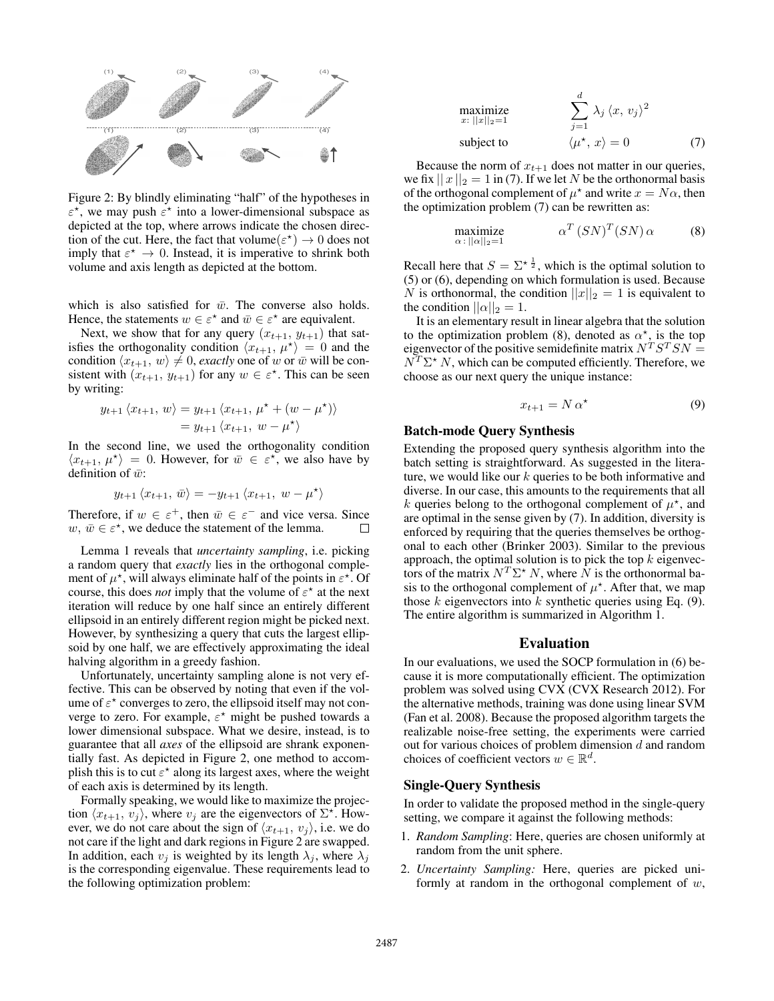

Figure 2: By blindly eliminating "half" of the hypotheses in  $\varepsilon^*$ , we may push  $\varepsilon^*$  into a lower-dimensional subspace as depicted at the top, where arrows indicate the chosen direction of the cut. Here, the fact that volume $(\varepsilon^*) \to 0$  does not imply that  $\varepsilon^* \to 0$ . Instead, it is imperative to shrink both volume and axis length as depicted at the bottom.

which is also satisfied for  $\bar{w}$ . The converse also holds. Hence, the statements  $w \in \varepsilon^*$  and  $\overline{w} \in \varepsilon^*$  are equivalent.

Next, we show that for any query  $(x_{t+1}, y_{t+1})$  that satisfies the orthogonality condition  $\langle x_{t+1}, \mu^* \rangle = 0$  and the condition  $\langle x_{t+1}, w \rangle \neq 0$ , *exactly* one of w or  $\bar{w}$  will be consistent with  $(x_{t+1}, y_{t+1})$  for any  $w \in \varepsilon^*$ . This can be seen by writing:

$$
y_{t+1} \langle x_{t+1}, w \rangle = y_{t+1} \langle x_{t+1}, \mu^* + (w - \mu^*) \rangle
$$
  
=  $y_{t+1} \langle x_{t+1}, w - \mu^* \rangle$ 

In the second line, we used the orthogonality condition  $\langle x_{t+1}, \mu^* \rangle = 0$ . However, for  $\bar{w} \in \varepsilon^*$ , we also have by definition of  $\bar{w}$ :

$$
y_{t+1} \langle x_{t+1}, \, \overline{w} \rangle = - y_{t+1} \langle x_{t+1}, \, w - \mu^{\star} \rangle
$$

Therefore, if  $w \in \varepsilon^+$ , then  $\overline{w} \in \varepsilon^-$  and vice versa. Since  $w, \, \bar{w} \in \varepsilon^*$ , we deduce the statement of the lemma. П

Lemma 1 reveals that *uncertainty sampling*, i.e. picking a random query that *exactly* lies in the orthogonal complement of  $\mu^*$ , will always eliminate half of the points in  $\varepsilon^*$ . Of course, this does *not* imply that the volume of  $\varepsilon^*$  at the next iteration will reduce by one half since an entirely different ellipsoid in an entirely different region might be picked next. However, by synthesizing a query that cuts the largest ellipsoid by one half, we are effectively approximating the ideal halving algorithm in a greedy fashion.

Unfortunately, uncertainty sampling alone is not very effective. This can be observed by noting that even if the volume of  $\varepsilon^*$  converges to zero, the ellipsoid itself may not converge to zero. For example,  $\varepsilon^*$  might be pushed towards a lower dimensional subspace. What we desire, instead, is to guarantee that all *axes* of the ellipsoid are shrank exponentially fast. As depicted in Figure 2, one method to accomplish this is to cut  $\varepsilon^*$  along its largest axes, where the weight of each axis is determined by its length.

Formally speaking, we would like to maximize the projection  $\langle x_{t+1}, v_j \rangle$ , where  $v_j$  are the eigenvectors of  $\Sigma^*$ . However, we do not care about the sign of  $\langle x_{t+1}, v_j \rangle$ , i.e. we do not care if the light and dark regions in Figure 2 are swapped. In addition, each  $v_i$  is weighted by its length  $\lambda_i$ , where  $\lambda_i$ is the corresponding eigenvalue. These requirements lead to the following optimization problem:

maximize  
\n
$$
\sum_{x:\,||x||_2=1}^d \lambda_j \langle x, v_j \rangle^2
$$
\nsubject to\n
$$
\langle \mu^*, x \rangle = 0
$$
\n(7)

Because the norm of  $x_{t+1}$  does not matter in our queries, we fix  $||x||_2 = 1$  in (7). If we let N be the orthonormal basis of the orthogonal complement of  $\mu^*$  and write  $x = N\alpha$ , then the optimization problem (7) can be rewritten as:

$$
\begin{array}{ll}\text{maximize} & \alpha^T \left( S N \right)^T \left( S N \right) \alpha \qquad (8) \\ \alpha : ||\alpha||_2 = 1 \end{array}
$$

Recall here that  $S = \sum^{\star} \frac{1}{2}$ , which is the optimal solution to (5) or (6), depending on which formulation is used. Because N is orthonormal, the condition  $||x||_2 = 1$  is equivalent to the condition  $||\alpha||_2 = 1$ .

It is an elementary result in linear algebra that the solution to the optimization problem (8), denoted as  $\alpha^*$ , is the top eigenvector of the positive semidefinite matrix  $N^T S^T S N =$  $N^T \Sigma^* N$ , which can be computed efficiently. Therefore, we choose as our next query the unique instance:

$$
x_{t+1} = N \alpha^* \tag{9}
$$

# Batch-mode Query Synthesis

Extending the proposed query synthesis algorithm into the batch setting is straightforward. As suggested in the literature, we would like our  $k$  queries to be both informative and diverse. In our case, this amounts to the requirements that all k queries belong to the orthogonal complement of  $\mu^*$ , and are optimal in the sense given by (7). In addition, diversity is enforced by requiring that the queries themselves be orthogonal to each other (Brinker 2003). Similar to the previous approach, the optimal solution is to pick the top  $k$  eigenvectors of the matrix  $N^T \Sigma^* N$ , where  $\tilde{N}$  is the orthonormal basis to the orthogonal complement of  $\mu^*$ . After that, we map those  $k$  eigenvectors into  $k$  synthetic queries using Eq. (9). The entire algorithm is summarized in Algorithm 1.

#### Evaluation

In our evaluations, we used the SOCP formulation in (6) because it is more computationally efficient. The optimization problem was solved using CVX (CVX Research 2012). For the alternative methods, training was done using linear SVM (Fan et al. 2008). Because the proposed algorithm targets the realizable noise-free setting, the experiments were carried out for various choices of problem dimension d and random choices of coefficient vectors  $w \in \mathbb{R}^d$ .

#### Single-Query Synthesis

In order to validate the proposed method in the single-query setting, we compare it against the following methods:

- 1. *Random Sampling*: Here, queries are chosen uniformly at random from the unit sphere.
- 2. *Uncertainty Sampling:* Here, queries are picked uniformly at random in the orthogonal complement of  $w$ ,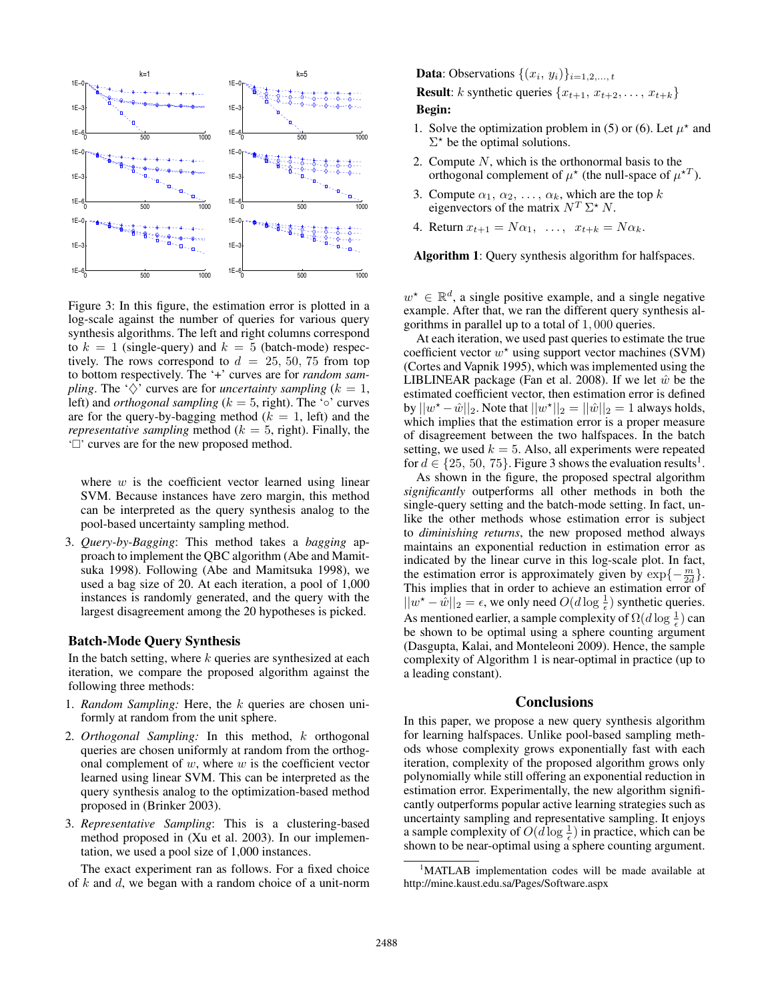

Figure 3: In this figure, the estimation error is plotted in a log-scale against the number of queries for various query synthesis algorithms. The left and right columns correspond to  $k = 1$  (single-query) and  $k = 5$  (batch-mode) respectively. The rows correspond to  $d = 25, 50, 75$  from top to bottom respectively. The '+' curves are for *random sampling*. The ' $\diamondsuit$ ' curves are for *uncertainty sampling* ( $k = 1$ , left) and *orthogonal sampling* ( $k = 5$ , right). The '∘' curves are for the query-by-bagging method ( $k = 1$ , left) and the *representative sampling* method ( $k = 5$ , right). Finally, the ' $\Box$ ' curves are for the new proposed method.

where  $w$  is the coefficient vector learned using linear SVM. Because instances have zero margin, this method can be interpreted as the query synthesis analog to the pool-based uncertainty sampling method.

3. *Query-by-Bagging*: This method takes a *bagging* approach to implement the QBC algorithm (Abe and Mamitsuka 1998). Following (Abe and Mamitsuka 1998), we used a bag size of 20. At each iteration, a pool of 1,000 instances is randomly generated, and the query with the largest disagreement among the 20 hypotheses is picked.

#### Batch-Mode Query Synthesis

In the batch setting, where  $k$  queries are synthesized at each iteration, we compare the proposed algorithm against the following three methods:

- 1. *Random Sampling:* Here, the k queries are chosen uniformly at random from the unit sphere.
- 2. *Orthogonal Sampling:* In this method, k orthogonal queries are chosen uniformly at random from the orthogonal complement of  $w$ , where  $w$  is the coefficient vector learned using linear SVM. This can be interpreted as the query synthesis analog to the optimization-based method proposed in (Brinker 2003).
- 3. *Representative Sampling*: This is a clustering-based method proposed in (Xu et al. 2003). In our implementation, we used a pool size of 1,000 instances.

The exact experiment ran as follows. For a fixed choice of  $k$  and  $d$ , we began with a random choice of a unit-norm

**Data**: Observations  $\{(x_i, y_i)\}_{i=1,2,\dots,t}$ 

**Result:** k synthetic queries  $\{x_{t+1}, x_{t+2}, \ldots, x_{t+k}\}$ Begin:

- 1. Solve the optimization problem in (5) or (6). Let  $\mu^*$  and  $\Sigma^*$  be the optimal solutions.
- 2. Compute  $N$ , which is the orthonormal basis to the orthogonal complement of  $\mu^*$  (the null-space of  $\mu^{*T}$ ).
- 3. Compute  $\alpha_1, \alpha_2, \ldots, \alpha_k$ , which are the top k eigenvectors of the matrix  $N^T \Sigma^* N$ .
- 4. Return  $x_{t+1} = N\alpha_1, \ldots, x_{t+k} = N\alpha_k$ .

Algorithm 1: Query synthesis algorithm for halfspaces.

 $w^* \in \mathbb{R}^d$ , a single positive example, and a single negative example. After that, we ran the different query synthesis algorithms in parallel up to a total of 1, 000 queries.

At each iteration, we used past queries to estimate the true coefficient vector  $w^*$  using support vector machines (SVM) (Cortes and Vapnik 1995), which was implemented using the LIBLINEAR package (Fan et al. 2008). If we let  $\hat{w}$  be the estimated coefficient vector, then estimation error is defined by  $||w^* - \hat{w}||_2$ . Note that  $||w^*||_2 = ||\hat{w}||_2 = 1$  always holds, which implies that the estimation error is a proper measure of disagreement between the two halfspaces. In the batch setting, we used  $k = 5$ . Also, all experiments were repeated for  $d \in \{25, 50, 75\}$ . Figure 3 shows the evaluation results<sup>1</sup>.

As shown in the figure, the proposed spectral algorithm *significantly* outperforms all other methods in both the single-query setting and the batch-mode setting. In fact, unlike the other methods whose estimation error is subject to *diminishing returns*, the new proposed method always maintains an exponential reduction in estimation error as indicated by the linear curve in this log-scale plot. In fact, the estimation error is approximately given by  $\exp{\{-\frac{m}{2d}\}}$ . This implies that in order to achieve an estimation error of  $||w^* - \hat{w}||_2 = \epsilon$ , we only need  $O(d \log \frac{1}{\epsilon})$  synthetic queries. As mentioned earlier, a sample complexity of  $\Omega(d \log \frac{1}{\epsilon})$  can be shown to be optimal using a sphere counting argument (Dasgupta, Kalai, and Monteleoni 2009). Hence, the sample complexity of Algorithm 1 is near-optimal in practice (up to a leading constant).

## **Conclusions**

In this paper, we propose a new query synthesis algorithm for learning halfspaces. Unlike pool-based sampling methods whose complexity grows exponentially fast with each iteration, complexity of the proposed algorithm grows only polynomially while still offering an exponential reduction in estimation error. Experimentally, the new algorithm significantly outperforms popular active learning strategies such as uncertainty sampling and representative sampling. It enjoys a sample complexity of  $O(d \log \frac{1}{\epsilon})$  in practice, which can be shown to be near-optimal using a sphere counting argument.

<sup>&</sup>lt;sup>1</sup>MATLAB implementation codes will be made available at http://mine.kaust.edu.sa/Pages/Software.aspx